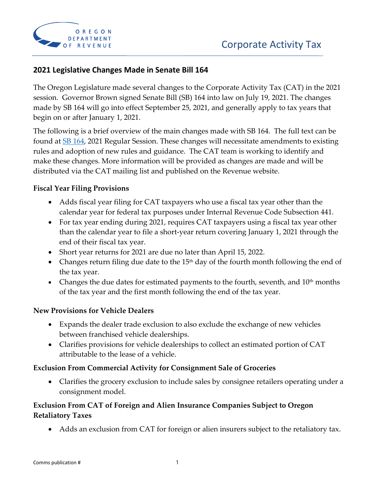

## **2021 Legislative Changes Made in Senate Bill 164**

The Oregon Legislature made several changes to the Corporate Activity Tax (CAT) in the 2021 session. Governor Brown signed Senate Bill (SB) 164 into law on July 19, 2021. The changes made by SB 164 will go into effect September 25, 2021, and generally apply to tax years that begin on or after January 1, 2021.

The following is a brief overview of the main changes made with SB 164. The full text can be found at [SB 164,](https://olis.oregonlegislature.gov/liz/2021R1/Downloads/MeasureDocument/SB164/Enrolled) 2021 Regular Session. These changes will necessitate amendments to existing rules and adoption of new rules and guidance. The CAT team is working to identify and make these changes. More information will be provided as changes are made and will be distributed via the CAT mailing list and published on the Revenue website.

#### **Fiscal Year Filing Provisions**

- Adds fiscal year filing for CAT taxpayers who use a fiscal tax year other than the calendar year for federal tax purposes under Internal Revenue Code Subsection 441.
- For tax year ending during 2021, requires CAT taxpayers using a fiscal tax year other than the calendar year to file a short-year return covering January 1, 2021 through the end of their fiscal tax year.
- Short year returns for 2021 are due no later than April 15, 2022.
- Changes return filing due date to the  $15<sup>th</sup>$  day of the fourth month following the end of the tax year.
- Changes the due dates for estimated payments to the fourth, seventh, and  $10<sup>th</sup>$  months of the tax year and the first month following the end of the tax year.

#### **New Provisions for Vehicle Dealers**

- Expands the dealer trade exclusion to also exclude the exchange of new vehicles between franchised vehicle dealerships.
- Clarifies provisions for vehicle dealerships to collect an estimated portion of CAT attributable to the lease of a vehicle.

#### **Exclusion From Commercial Activity for Consignment Sale of Groceries**

• Clarifies the grocery exclusion to include sales by consignee retailers operating under a consignment model.

### **Exclusion From CAT of Foreign and Alien Insurance Companies Subject to Oregon Retaliatory Taxes**

• Adds an exclusion from CAT for foreign or alien insurers subject to the retaliatory tax.